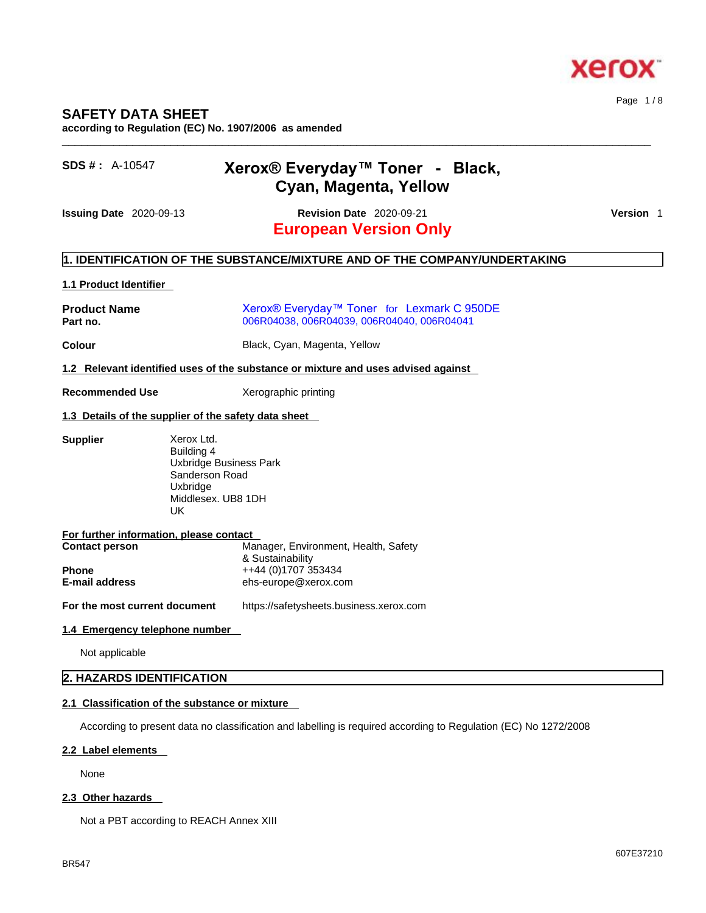

## **SAFETY DATA SHEET**

**according to Regulation (EC) No. 1907/2006 as amended** 

| $SDS #: A-10547$ | Xerox® Everyday™ Toner - Black, |  |
|------------------|---------------------------------|--|
|                  | Cyan, Magenta, Yellow           |  |

**European Version Only Issuing Date** 2020-09-13 **Revision Date** 2020-09-21 **Version** 1

 $\_$  ,  $\_$  ,  $\_$  ,  $\_$  ,  $\_$  ,  $\_$  ,  $\_$  ,  $\_$  ,  $\_$  ,  $\_$  ,  $\_$  ,  $\_$  ,  $\_$  ,  $\_$  ,  $\_$  ,  $\_$  ,  $\_$  ,  $\_$  ,  $\_$  ,  $\_$  ,  $\_$  ,  $\_$  ,  $\_$  ,  $\_$  ,  $\_$  ,  $\_$  ,  $\_$  ,  $\_$  ,  $\_$  ,  $\_$  ,  $\_$  ,  $\_$  ,  $\_$  ,  $\_$  ,  $\_$  ,  $\_$  ,  $\_$  ,

Page 1 / 8

## **1. IDENTIFICATION OF THE SUBSTANCE/MIXTURE AND OF THE COMPANY/UNDERTAKING**

## **1.1 Product Identifier**

| <b>Product Name</b><br>Part no. | Xerox <sup>®</sup> Everyday™ Toner for Lexmark C 950DE<br>006R04038, 006R04039, 006R04040, 006R04041 |  |  |
|---------------------------------|------------------------------------------------------------------------------------------------------|--|--|
| Colour                          | Black, Cyan, Magenta, Yellow                                                                         |  |  |
| $\sim$ $\sim$                   |                                                                                                      |  |  |

#### **1.2 Relevant identified uses of the substance or mixture and uses advised against**

#### **Recommended Use** Xerographic printing

#### **1.3 Details of the supplier of the safety data sheet**

| <b>Supplier</b>                         | Xerox Ltd.                           |
|-----------------------------------------|--------------------------------------|
|                                         | Building 4                           |
|                                         | Uxbridge Business Park               |
|                                         | Sanderson Road                       |
|                                         | Uxbridge                             |
|                                         | Middlesex, UB8 1DH                   |
|                                         | UK.                                  |
|                                         |                                      |
| For further information, please contact |                                      |
| <b>Contact person</b>                   | Manager, Environment, Health, Safety |
|                                         | & Sustainability                     |
| <b>Phone</b>                            | ++44 (0)1707 353434                  |
| <b>E-mail address</b>                   | ehs-europe@xerox.com                 |
|                                         |                                      |

**For the most current document** https://safetysheets.business.xerox.com

#### **1.4 Emergency telephone number**

Not applicable

## **2. HAZARDS IDENTIFICATION**

## **2.1 Classification of the substance or mixture**

According to present data no classification and labelling is required according to Regulation (EC) No 1272/2008

## **2.2 Label elements**

None

## **2.3 Other hazards**

Not a PBT according to REACH Annex XIII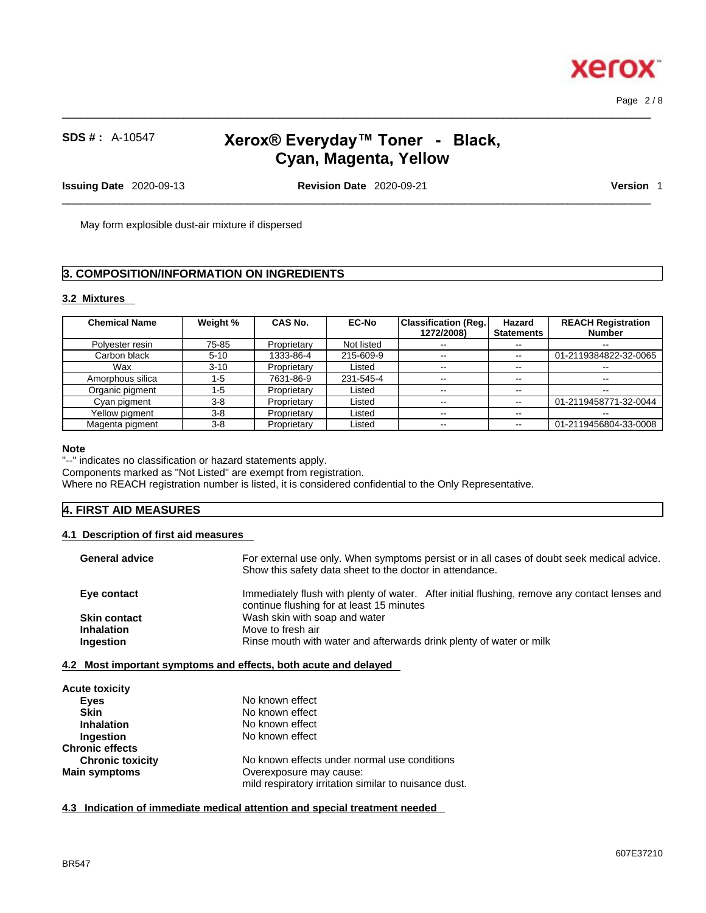607E37210

Page 2 / 8

**Xerox** 

# **SDS # :** A-10547 **Xerox® Everyday™ Toner - Black, Cyan, Magenta, Yellow**

 $\_$  ,  $\_$  ,  $\_$  ,  $\_$  ,  $\_$  ,  $\_$  ,  $\_$  ,  $\_$  ,  $\_$  ,  $\_$  ,  $\_$  ,  $\_$  ,  $\_$  ,  $\_$  ,  $\_$  ,  $\_$  ,  $\_$  ,  $\_$  ,  $\_$  ,  $\_$  ,  $\_$  ,  $\_$  ,  $\_$  ,  $\_$  ,  $\_$  ,  $\_$  ,  $\_$  ,  $\_$  ,  $\_$  ,  $\_$  ,  $\_$  ,  $\_$  ,  $\_$  ,  $\_$  ,  $\_$  ,  $\_$  ,  $\_$  ,

**Issuing Date** 2020-09-13 **Revision Date** 2020-09-21 **Version** 1

 $\_$  ,  $\_$  ,  $\_$  ,  $\_$  ,  $\_$  ,  $\_$  ,  $\_$  ,  $\_$  ,  $\_$  ,  $\_$  ,  $\_$  ,  $\_$  ,  $\_$  ,  $\_$  ,  $\_$  ,  $\_$  ,  $\_$  ,  $\_$  ,  $\_$  ,  $\_$  ,  $\_$  ,  $\_$  ,  $\_$  ,  $\_$  ,  $\_$  ,  $\_$  ,  $\_$  ,  $\_$  ,  $\_$  ,  $\_$  ,  $\_$  ,  $\_$  ,  $\_$  ,  $\_$  ,  $\_$  ,  $\_$  ,  $\_$  ,

May form explosible dust-air mixture if dispersed

## **3. COMPOSITION/INFORMATION ON INGREDIENTS**

## **3.2 Mixtures**

| <b>Chemical Name</b> | Weight % | <b>CAS No.</b> | <b>EC-No</b> | <b>Classification (Reg.</b><br>1272/2008) | Hazard<br><b>Statements</b> | <b>REACH Registration</b><br><b>Number</b> |
|----------------------|----------|----------------|--------------|-------------------------------------------|-----------------------------|--------------------------------------------|
| Polyester resin      | 75-85    | Proprietary    | Not listed   | $- -$                                     | $\sim$ $\sim$               | $- -$                                      |
| Carbon black         | $5 - 10$ | 1333-86-4      | 215-609-9    | --                                        | $\sim$ $\sim$               | 01-2119384822-32-0065                      |
| Wax                  | $3 - 10$ | Proprietary    | Listed       | --                                        | $\sim$ $\sim$               |                                            |
| Amorphous silica     | $1 - 5$  | 7631-86-9      | 231-545-4    | $- -$                                     | $- -$                       | $-$                                        |
| Organic pigment      | $1 - 5$  | Proprietary    | Listed       | $- -$                                     | $\sim$ $\sim$               | $\overline{\phantom{a}}$                   |
| Cyan pigment         | $3-8$    | Proprietary    | Listed       | $- -$                                     | $\sim$ $\sim$               | 01-2119458771-32-0044                      |
| Yellow pigment       | $3 - 8$  | Proprietary    | Listed       | $- -$                                     |                             |                                            |
| Magenta pigment      | $3 - 8$  | Proprietary    | Listed       | --                                        | $\sim$ $\sim$               | 01-2119456804-33-0008                      |

#### **Note**

"--" indicates no classification or hazard statements apply.

Components marked as "Not Listed" are exempt from registration.

Where no REACH registration number is listed, it is considered confidential to the Only Representative.

## **4. FIRST AID MEASURES**

#### **4.1 Description of first aid measures**

| <b>General advice</b> | For external use only. When symptoms persist or in all cases of doubt seek medical advice.<br>Show this safety data sheet to the doctor in attendance. |
|-----------------------|--------------------------------------------------------------------------------------------------------------------------------------------------------|
| Eye contact           | Immediately flush with plenty of water. After initial flushing, remove any contact lenses and<br>continue flushing for at least 15 minutes             |
| <b>Skin contact</b>   | Wash skin with soap and water                                                                                                                          |
| <b>Inhalation</b>     | Move to fresh air                                                                                                                                      |
| <b>Ingestion</b>      | Rinse mouth with water and afterwards drink plenty of water or milk                                                                                    |

| <b>Acute toxicity</b>   |                                                       |
|-------------------------|-------------------------------------------------------|
| Eyes                    | No known effect                                       |
| <b>Skin</b>             | No known effect                                       |
| <b>Inhalation</b>       | No known effect                                       |
| Ingestion               | No known effect                                       |
| <b>Chronic effects</b>  |                                                       |
| <b>Chronic toxicity</b> | No known effects under normal use conditions          |
| <b>Main symptoms</b>    | Overexposure may cause:                               |
|                         | mild respiratory irritation similar to nuisance dust. |

**4.3 Indication of immediate medical attention and special treatment needed**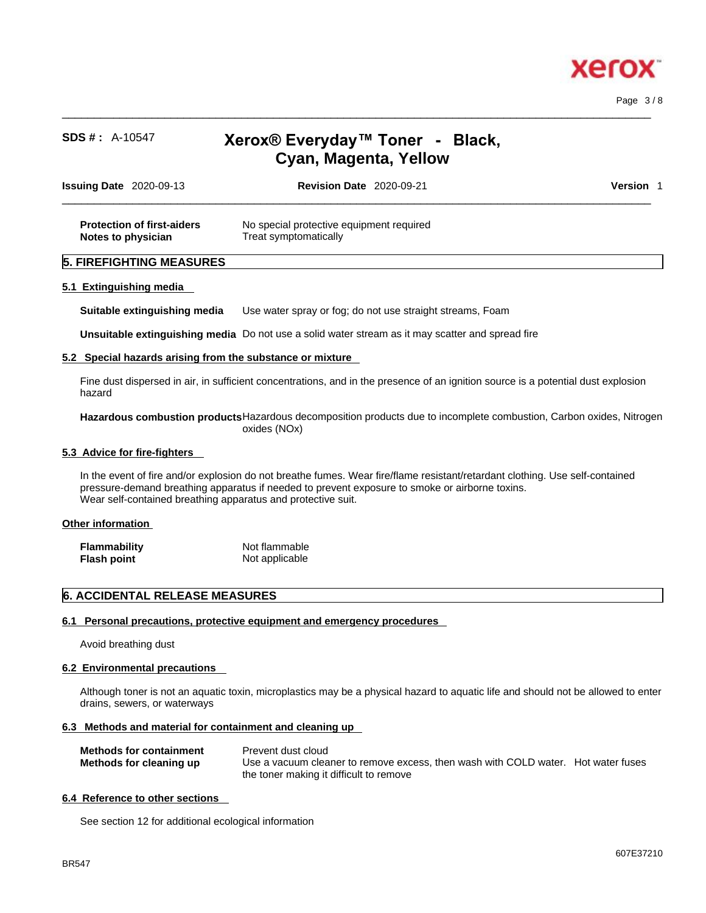

Page 3 / 8

# **SDS # :** A-10547 **Xerox® Everyday™ Toner - Black, Cyan, Magenta, Yellow**

 $\_$  ,  $\_$  ,  $\_$  ,  $\_$  ,  $\_$  ,  $\_$  ,  $\_$  ,  $\_$  ,  $\_$  ,  $\_$  ,  $\_$  ,  $\_$  ,  $\_$  ,  $\_$  ,  $\_$  ,  $\_$  ,  $\_$  ,  $\_$  ,  $\_$  ,  $\_$  ,  $\_$  ,  $\_$  ,  $\_$  ,  $\_$  ,  $\_$  ,  $\_$  ,  $\_$  ,  $\_$  ,  $\_$  ,  $\_$  ,  $\_$  ,  $\_$  ,  $\_$  ,  $\_$  ,  $\_$  ,  $\_$  ,  $\_$  ,

| <b>Issuing Date 2020-09-13</b>                          | <b>Revision Date 2020-09-21</b>                                   | Version |
|---------------------------------------------------------|-------------------------------------------------------------------|---------|
| <b>Protection of first-aiders</b><br>Notes to physician | No special protective equipment required<br>Treat symptomatically |         |
| <b>5. FIREFIGHTING MEASURES</b>                         |                                                                   |         |
| 5.1 Extinguishing media                                 |                                                                   |         |

**Suitable extinguishing media** Use water spray or fog; do not use straight streams, Foam

**Unsuitable extinguishing media** Do not use a solid water stream as it may scatterand spread fire

#### **5.2 Special hazards arising from the substance or mixture**

Fine dust dispersed in air, in sufficient concentrations, and in the presence of an ignition source is a potential dust explosion hazard

**Hazardous combustion products**Hazardous decomposition products due to incomplete combustion, Carbon oxides, Nitrogen oxides (NOx)

#### **5.3 Advice for fire-fighters**

In the event of fire and/or explosion do not breathe fumes. Wear fire/flame resistant/retardant clothing. Use self-contained pressure-demand breathing apparatus if needed to prevent exposure to smoke or airborne toxins. Wear self-contained breathing apparatus and protective suit.

#### **Other information**

| <b>Flammability</b> | Not flammable  |
|---------------------|----------------|
| Flash point         | Not applicable |

## **6. ACCIDENTAL RELEASE MEASURES**

#### **6.1 Personal precautions, protective equipment and emergency procedures**

Avoid breathing dust

#### **6.2 Environmental precautions**

Although toner is not an aquatic toxin, microplastics may be a physical hazard to aquatic life and should not be allowed to enter drains, sewers, or waterways

#### **6.3 Methods and material for containment and cleaning up**

| <b>Methods for containment</b> | Prevent dust cloud                                                                |
|--------------------------------|-----------------------------------------------------------------------------------|
| Methods for cleaning up        | Use a vacuum cleaner to remove excess, then wash with COLD water. Hot water fuses |
|                                | the toner making it difficult to remove                                           |

#### **6.4 Reference to other sections**

See section 12 for additional ecological information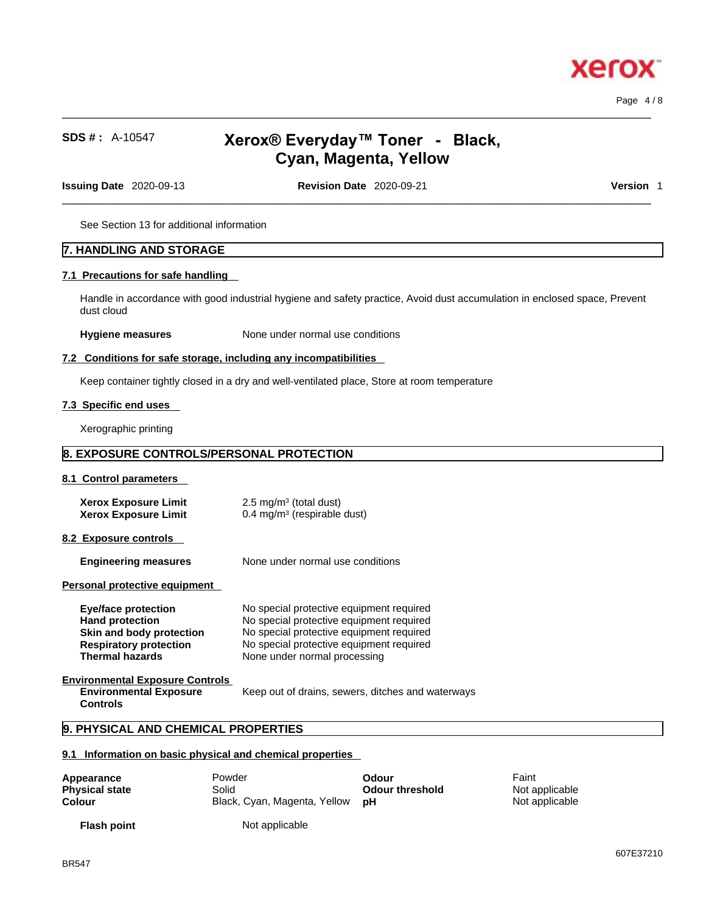

Page 4 / 8

# **SDS # :** A-10547 **Xerox® Everyday™ Toner - Black, Cyan, Magenta, Yellow**

 $\_$  ,  $\_$  ,  $\_$  ,  $\_$  ,  $\_$  ,  $\_$  ,  $\_$  ,  $\_$  ,  $\_$  ,  $\_$  ,  $\_$  ,  $\_$  ,  $\_$  ,  $\_$  ,  $\_$  ,  $\_$  ,  $\_$  ,  $\_$  ,  $\_$  ,  $\_$  ,  $\_$  ,  $\_$  ,  $\_$  ,  $\_$  ,  $\_$  ,  $\_$  ,  $\_$  ,  $\_$  ,  $\_$  ,  $\_$  ,  $\_$  ,  $\_$  ,  $\_$  ,  $\_$  ,  $\_$  ,  $\_$  ,  $\_$  ,

**Issuing Date** 2020-09-13 **Revision Date** 2020-09-21 **Version** 1

 $\_$  ,  $\_$  ,  $\_$  ,  $\_$  ,  $\_$  ,  $\_$  ,  $\_$  ,  $\_$  ,  $\_$  ,  $\_$  ,  $\_$  ,  $\_$  ,  $\_$  ,  $\_$  ,  $\_$  ,  $\_$  ,  $\_$  ,  $\_$  ,  $\_$  ,  $\_$  ,  $\_$  ,  $\_$  ,  $\_$  ,  $\_$  ,  $\_$  ,  $\_$  ,  $\_$  ,  $\_$  ,  $\_$  ,  $\_$  ,  $\_$  ,  $\_$  ,  $\_$  ,  $\_$  ,  $\_$  ,  $\_$  ,  $\_$  ,

See Section 13 for additional information

## **7. HANDLING AND STORAGE**

#### **7.1 Precautions for safe handling**

Handle in accordance with good industrial hygiene and safety practice, Avoid dust accumulation in enclosed space, Prevent dust cloud

**Hygiene measures** None under normal use conditions

#### **7.2 Conditions for safe storage, including any incompatibilities**

Keep container tightly closed in a dry and well-ventilated place, Store at room temperature

## **7.3 Specific end uses**

Xerographic printing

## **8. EXPOSURE CONTROLS/PERSONAL PROTECTION**

#### **8.1 Control parameters**

| Xerox Exposure Limit | $2.5 \text{ mg/m}^3$ (total dust)      |
|----------------------|----------------------------------------|
| Xerox Exposure Limit | $0.4 \text{ mg/m}^3$ (respirable dust) |

#### **8.2 Exposure controls**

**Engineering measures** None under normal use conditions

#### **Personal protective equipment**

| <b>Eye/face protection</b>                                                                 | No special protective equipment required          |
|--------------------------------------------------------------------------------------------|---------------------------------------------------|
| <b>Hand protection</b>                                                                     | No special protective equipment required          |
| Skin and body protection                                                                   | No special protective equipment required          |
| <b>Respiratory protection</b>                                                              | No special protective equipment required          |
| <b>Thermal hazards</b>                                                                     | None under normal processing                      |
| <b>Environmental Exposure Controls</b><br><b>Environmental Exposure</b><br><b>Controls</b> | Keep out of drains, sewers, ditches and waterways |

## **9. PHYSICAL AND CHEMICAL PROPERTIES**

#### **9.1 Information on basic physical and chemical properties**

| Appearance            | Powder                          | Odour                  | Faint          |
|-----------------------|---------------------------------|------------------------|----------------|
| <b>Physical state</b> | Solid                           | <b>Odour threshold</b> | Not applicable |
| Colour                | Black, Cyan, Magenta, Yellow pH |                        | Not applicable |
|                       |                                 |                        |                |

**Flash point**

Not applicable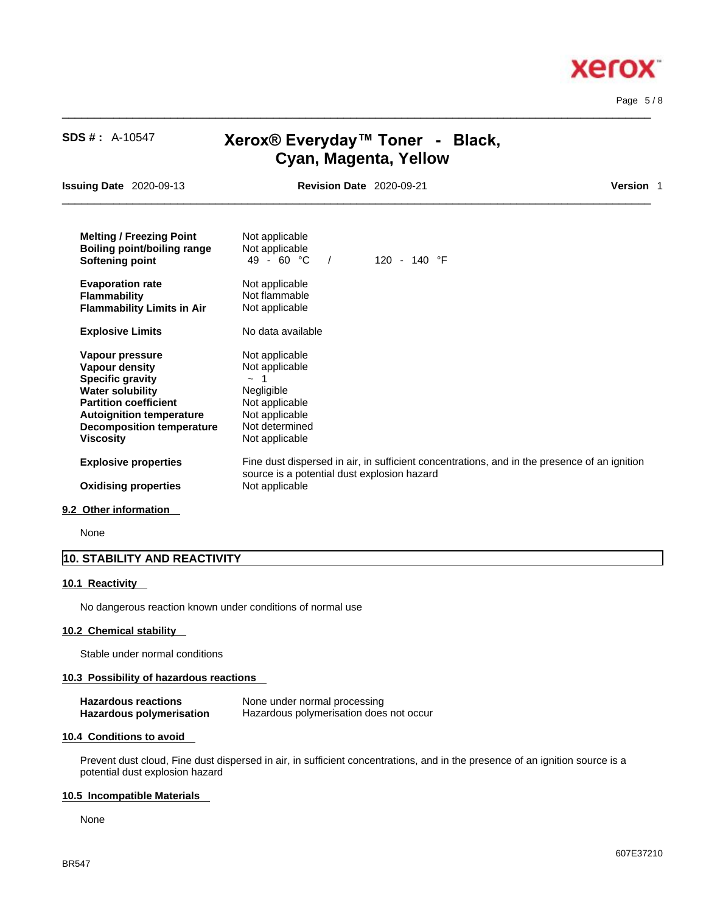**Xerox** 

| <b>SDS #: A-10547</b>                                                                                                                                                                                                     | Xerox® Everyday™ Toner - Black,<br>Cyan, Magenta, Yellow                                                                                                      |                       |                  |
|---------------------------------------------------------------------------------------------------------------------------------------------------------------------------------------------------------------------------|---------------------------------------------------------------------------------------------------------------------------------------------------------------|-----------------------|------------------|
| <b>Issuing Date 2020-09-13</b>                                                                                                                                                                                            | <b>Revision Date 2020-09-21</b>                                                                                                                               |                       | <b>Version 1</b> |
| <b>Melting / Freezing Point</b><br><b>Boiling point/boiling range</b><br>Softening point                                                                                                                                  | Not applicable<br>Not applicable<br>49 - 60 $^{\circ}$ C<br>$\sqrt{2}$                                                                                        | 120 - 140 $\degree$ F |                  |
| <b>Evaporation rate</b><br><b>Flammability</b><br><b>Flammability Limits in Air</b>                                                                                                                                       | Not applicable<br>Not flammable<br>Not applicable                                                                                                             |                       |                  |
| <b>Explosive Limits</b>                                                                                                                                                                                                   | No data available                                                                                                                                             |                       |                  |
| Vapour pressure<br><b>Vapour density</b><br><b>Specific gravity</b><br><b>Water solubility</b><br><b>Partition coefficient</b><br><b>Autoignition temperature</b><br><b>Decomposition temperature</b><br><b>Viscosity</b> | Not applicable<br>Not applicable<br>-1<br>$\sim$<br>Negligible<br>Not applicable<br>Not applicable<br>Not determined<br>Not applicable                        |                       |                  |
| <b>Explosive properties</b><br><b>Oxidising properties</b>                                                                                                                                                                | Fine dust dispersed in air, in sufficient concentrations, and in the presence of an ignition<br>source is a potential dust explosion hazard<br>Not applicable |                       |                  |
|                                                                                                                                                                                                                           |                                                                                                                                                               |                       |                  |

 $\_$  ,  $\_$  ,  $\_$  ,  $\_$  ,  $\_$  ,  $\_$  ,  $\_$  ,  $\_$  ,  $\_$  ,  $\_$  ,  $\_$  ,  $\_$  ,  $\_$  ,  $\_$  ,  $\_$  ,  $\_$  ,  $\_$  ,  $\_$  ,  $\_$  ,  $\_$  ,  $\_$  ,  $\_$  ,  $\_$  ,  $\_$  ,  $\_$  ,  $\_$  ,  $\_$  ,  $\_$  ,  $\_$  ,  $\_$  ,  $\_$  ,  $\_$  ,  $\_$  ,  $\_$  ,  $\_$  ,  $\_$  ,  $\_$  ,

#### **9.2 Other information**

None

## **10. STABILITY AND REACTIVITY**

#### **10.1 Reactivity**

No dangerous reaction known under conditions of normal use

## **10.2 Chemical stability**

Stable under normal conditions

## **10.3 Possibility of hazardous reactions**

| <b>Hazardous reactions</b> | None under normal processing            |
|----------------------------|-----------------------------------------|
| Hazardous polymerisation   | Hazardous polymerisation does not occur |

#### **10.4 Conditions to avoid**

Prevent dust cloud, Fine dust dispersed in air, in sufficient concentrations, and in the presence of an ignition source is a potential dust explosion hazard

## **10.5 Incompatible Materials**

None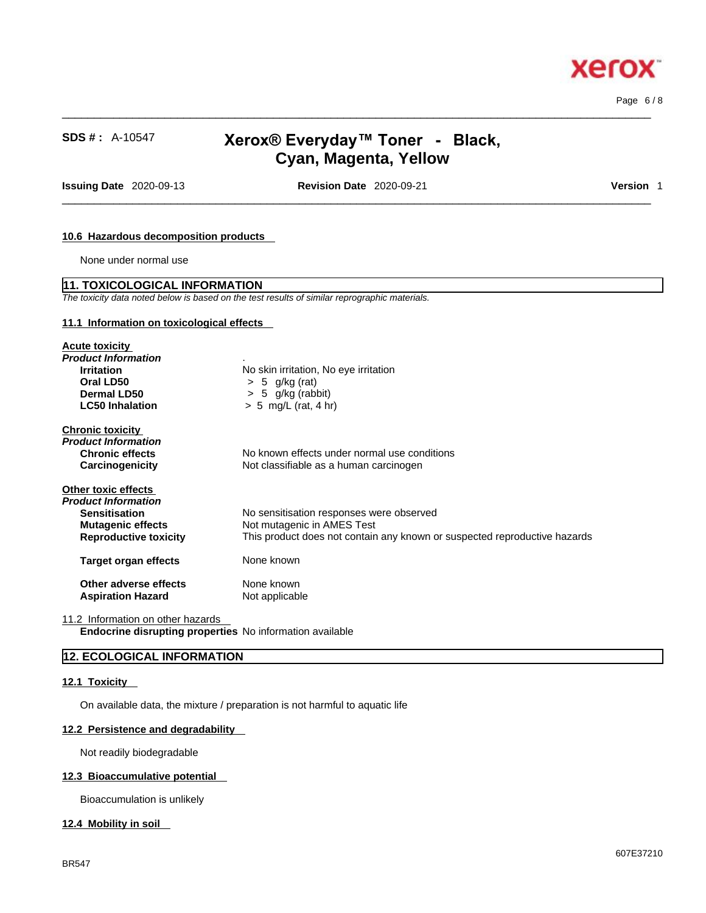

 $\_$  ,  $\_$  ,  $\_$  ,  $\_$  ,  $\_$  ,  $\_$  ,  $\_$  ,  $\_$  ,  $\_$  ,  $\_$  ,  $\_$  ,  $\_$  ,  $\_$  ,  $\_$  ,  $\_$  ,  $\_$  ,  $\_$  ,  $\_$  ,  $\_$  ,  $\_$  ,  $\_$  ,  $\_$  ,  $\_$  ,  $\_$  ,  $\_$  ,  $\_$  ,  $\_$  ,  $\_$  ,  $\_$  ,  $\_$  ,  $\_$  ,  $\_$  ,  $\_$  ,  $\_$  ,  $\_$  ,  $\_$  ,  $\_$  , **SDS # :** A-10547 **Xerox® Everyday™ Toner - Black, Cyan, Magenta, Yellow Issuing Date** 2020-09-13 **Revision Date** 2020-09-21 **Version** 1 **10.6 Hazardous decomposition products**  None under normal use **11. TOXICOLOGICAL INFORMATION** *The toxicity data noted below is based on the test results of similar reprographic materials.*  **11.1 Information on toxicological effects Acute toxicity** *Product Information* . **Irritation**<br> **Oral LD50**<br>  $>$  5  $\alpha$ /kg (rat)<br>  $>$  6  $\alpha$ /kg (rat) **Oral LD50** > 5 g/kg (rat) **Dermal LD50**  $\rightarrow$  5 g/kg (rabbit)<br>**LC50 Inhalation**  $\rightarrow$  5 mg/L (rat. 4 hi **LC50 Inhalation** > 5 mg/L (rat, 4 hr) **Chronic toxicity** *Product Information*  **Chronic effects** No known effects under normal use conditions **Carcinogenicity** Not classifiable as a human carcinogen **Other toxic effects** *Product Information*  **Sensitisation**<br> **No sensitisation responses were observed Mutagenic effects**<br>
Not mutagenic in AMES Test **Not mutagenic in AMES Test Reproductive toxicity** This product does not contain any known or suspected reproductive hazards **Target organ effects** None known **Other adverse effects** None known<br> **Aspiration Hazard** Not applicable **Aspiration Hazard** 

 $\_$  ,  $\_$  ,  $\_$  ,  $\_$  ,  $\_$  ,  $\_$  ,  $\_$  ,  $\_$  ,  $\_$  ,  $\_$  ,  $\_$  ,  $\_$  ,  $\_$  ,  $\_$  ,  $\_$  ,  $\_$  ,  $\_$  ,  $\_$  ,  $\_$  ,  $\_$  ,  $\_$  ,  $\_$  ,  $\_$  ,  $\_$  ,  $\_$  ,  $\_$  ,  $\_$  ,  $\_$  ,  $\_$  ,  $\_$  ,  $\_$  ,  $\_$  ,  $\_$  ,  $\_$  ,  $\_$  ,  $\_$  ,  $\_$  ,

11.2 Information on other hazards **Endocrine disrupting properties** No information available

## **12. ECOLOGICAL INFORMATION**

#### **12.1 Toxicity**

On available data, the mixture / preparation is not harmful to aquatic life

#### **12.2 Persistence and degradability**

Not readily biodegradable

#### **12.3 Bioaccumulative potential**

Bioaccumulation is unlikely

#### **12.4 Mobility in soil**

Page 6 / 8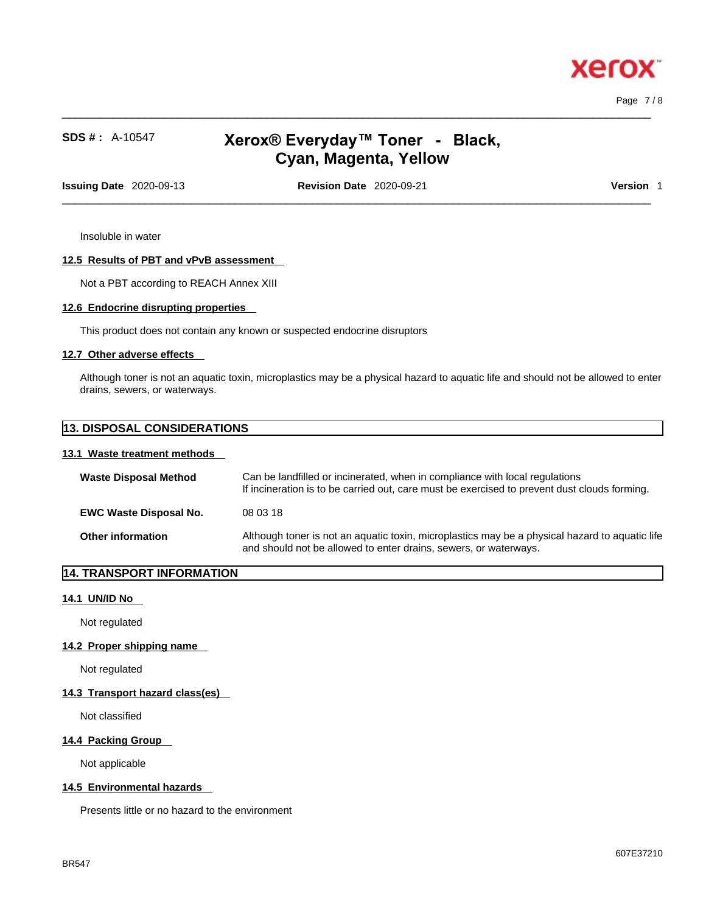

Page 7 / 8

# **SDS # :** A-10547 **Xerox® Everyday™ Toner - Black, Cyan, Magenta, Yellow**

 $\_$  ,  $\_$  ,  $\_$  ,  $\_$  ,  $\_$  ,  $\_$  ,  $\_$  ,  $\_$  ,  $\_$  ,  $\_$  ,  $\_$  ,  $\_$  ,  $\_$  ,  $\_$  ,  $\_$  ,  $\_$  ,  $\_$  ,  $\_$  ,  $\_$  ,  $\_$  ,  $\_$  ,  $\_$  ,  $\_$  ,  $\_$  ,  $\_$  ,  $\_$  ,  $\_$  ,  $\_$  ,  $\_$  ,  $\_$  ,  $\_$  ,  $\_$  ,  $\_$  ,  $\_$  ,  $\_$  ,  $\_$  ,  $\_$  ,

**Issuing Date** 2020-09-13 **Revision Date** 2020-09-21 **Version** 1

 $\_$  ,  $\_$  ,  $\_$  ,  $\_$  ,  $\_$  ,  $\_$  ,  $\_$  ,  $\_$  ,  $\_$  ,  $\_$  ,  $\_$  ,  $\_$  ,  $\_$  ,  $\_$  ,  $\_$  ,  $\_$  ,  $\_$  ,  $\_$  ,  $\_$  ,  $\_$  ,  $\_$  ,  $\_$  ,  $\_$  ,  $\_$  ,  $\_$  ,  $\_$  ,  $\_$  ,  $\_$  ,  $\_$  ,  $\_$  ,  $\_$  ,  $\_$  ,  $\_$  ,  $\_$  ,  $\_$  ,  $\_$  ,  $\_$  ,

Insoluble in water

## **12.5 Results of PBT and vPvB assessment**

Not a PBT according to REACH Annex XIII

#### **12.6 Endocrine disrupting properties**

This product does not contain any known or suspected endocrine disruptors

#### **12.7 Other adverse effects**

Although toner is not an aquatic toxin, microplastics may be a physical hazard to aquatic life and should not be allowed to enter drains, sewers, or waterways.

| <b>13. DISPOSAL CONSIDERATIONS</b> |                                                                                                                                                             |  |  |  |  |
|------------------------------------|-------------------------------------------------------------------------------------------------------------------------------------------------------------|--|--|--|--|
| 13.1 Waste treatment methods       |                                                                                                                                                             |  |  |  |  |
| <b>Waste Disposal Method</b>       | Can be landfilled or incinerated, when in compliance with local regulations<br>If incineration is to be carried out, care must be evergised to prevent dust |  |  |  |  |

|                               | If incineration is to be carried out, care must be exercised to prevent dust clouds forming.                                                                       |
|-------------------------------|--------------------------------------------------------------------------------------------------------------------------------------------------------------------|
| <b>EWC Waste Disposal No.</b> | 08 03 18                                                                                                                                                           |
| <b>Other information</b>      | Although toner is not an aquatic toxin, microplastics may be a physical hazard to aquatic life<br>and should not be allowed to enter drains, sewers, or waterways. |

## **14. TRANSPORT INFORMATION**

#### **14.1 UN/ID No**

Not regulated

## **14.2 Proper shipping name**

Not regulated

## **14.3 Transport hazard class(es)**

Not classified

#### **14.4 Packing Group**

Not applicable

#### **14.5 Environmental hazards**

Presents little or no hazard to the environment